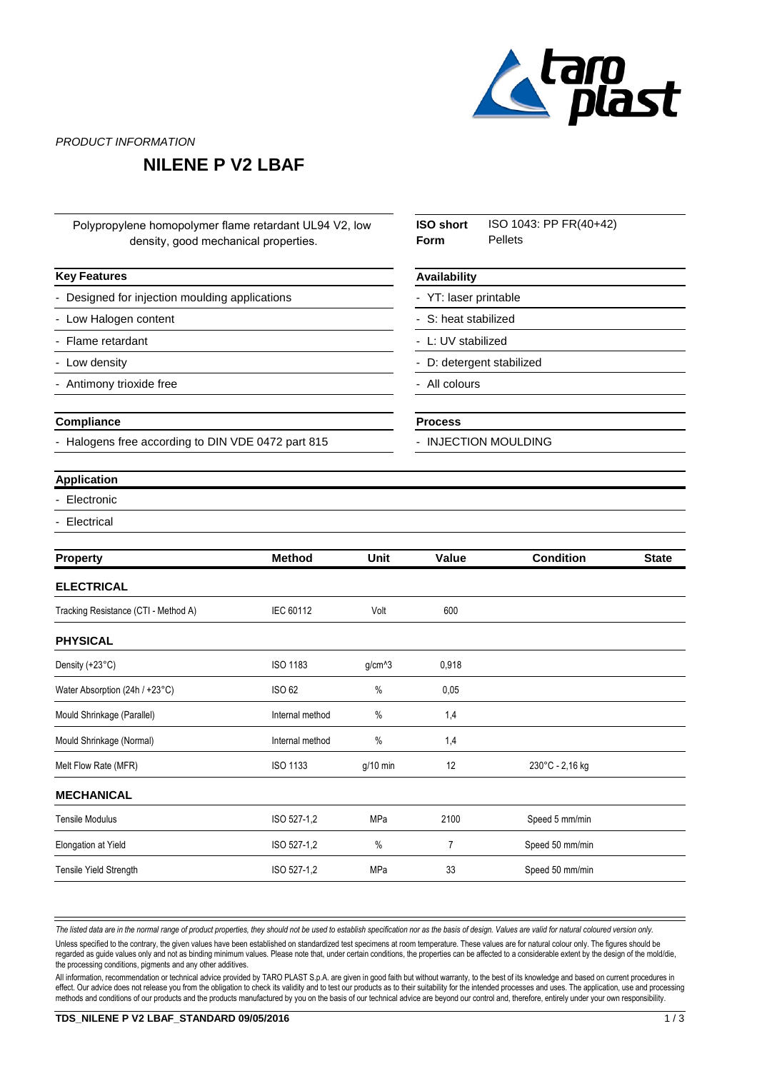

PRODUCT INFORMATION

# **NILENE P V2 LBAF**

Polypropylene homopolymer flame retardant UL94 V2, low density, good mechanical properties.

### **Key Features**

Designed for injection moulding applications

- Low Halogen content
- Flame retardant
- Low density
- Antimony trioxide free

#### **Compliance**

Halogens free according to DIN VDE 0472 part 815

#### ISO 1043: PP FR(40+42) Pellets **ISO short Form Availability**

YT: laser printable

S: heat stabilized

L: UV stabilized

D: detergent stabilized

All colours

#### **Process**

INJECTION MOULDING

### **Application**

- **Electronic**
- **Electrical**

| <b>Property</b>                      | <b>Method</b>   | Unit       | Value | <b>Condition</b> | <b>State</b> |
|--------------------------------------|-----------------|------------|-------|------------------|--------------|
| <b>ELECTRICAL</b>                    |                 |            |       |                  |              |
| Tracking Resistance (CTI - Method A) | IEC 60112       | Volt       | 600   |                  |              |
| <b>PHYSICAL</b>                      |                 |            |       |                  |              |
| Density (+23°C)                      | <b>ISO 1183</b> | $g/cm^{3}$ | 0,918 |                  |              |
| Water Absorption (24h / +23°C)       | ISO 62          | $\%$       | 0,05  |                  |              |
| Mould Shrinkage (Parallel)           | Internal method | $\%$       | 1,4   |                  |              |
| Mould Shrinkage (Normal)             | Internal method | $\%$       | 1,4   |                  |              |
| Melt Flow Rate (MFR)                 | <b>ISO 1133</b> | $g/10$ min | 12    | 230°C - 2,16 kg  |              |
| <b>MECHANICAL</b>                    |                 |            |       |                  |              |
| <b>Tensile Modulus</b>               | ISO 527-1,2     | MPa        | 2100  | Speed 5 mm/min   |              |
| Elongation at Yield                  | ISO 527-1,2     | $\%$       | 7     | Speed 50 mm/min  |              |
| Tensile Yield Strength               | ISO 527-1,2     | MPa        | 33    | Speed 50 mm/min  |              |

The listed data are in the normal range of product properties, they should not be used to establish specification nor as the basis of design. Values are valid for natural coloured version only.

Unless specified to the contrary, the given values have been established on standardized test specimens at room temperature. These values are for natural colour only. The figures should be regarded as guide values only and not as binding minimum values. Please note that, under certain conditions, the properties can be affected to a considerable extent by the design of the mold/die, the processing conditions, pigments and any other additives.

All information, recommendation or technical advice provided by TARO PLAST S.p.A. are given in good faith but without warranty, to the best of its knowledge and based on current procedures in effect. Our advice does not release you from the obligation to check its validity and to test our products as to their suitability for the intended processes and uses. The application, use and processing methods and conditions of our products and the products manufactured by you on the basis of our technical advice are beyond our control and, therefore, entirely under your own responsibility.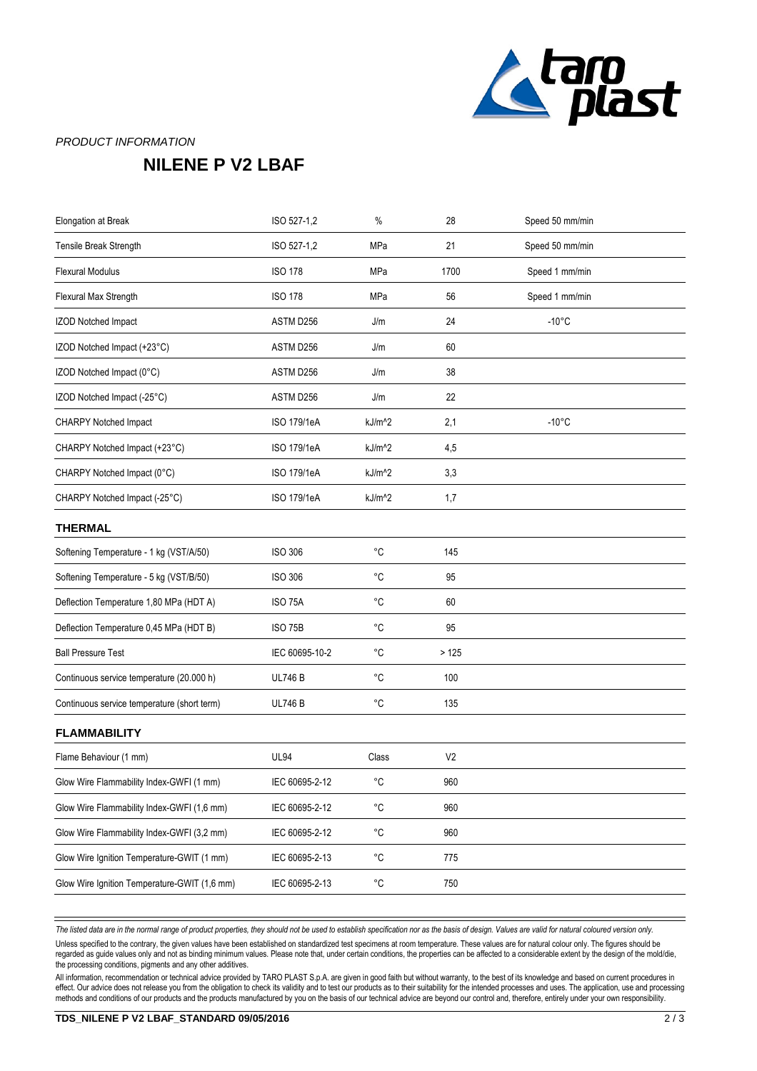

### PRODUCT INFORMATION

# **NILENE P V2 LBAF**

| Elongation at Break                          | ISO 527-1,2        | $\%$               | 28             | Speed 50 mm/min |  |
|----------------------------------------------|--------------------|--------------------|----------------|-----------------|--|
| Tensile Break Strength                       | ISO 527-1,2        | MPa                | 21             | Speed 50 mm/min |  |
| <b>Flexural Modulus</b>                      | <b>ISO 178</b>     | MPa                | 1700           | Speed 1 mm/min  |  |
| Flexural Max Strength                        | <b>ISO 178</b>     | MPa                | 56             | Speed 1 mm/min  |  |
| <b>IZOD Notched Impact</b>                   | ASTM D256          | J/m                | 24             | $-10^{\circ}$ C |  |
| IZOD Notched Impact (+23°C)                  | ASTM D256          | J/m                | 60             |                 |  |
| IZOD Notched Impact (0°C)                    | ASTM D256          | J/m                | 38             |                 |  |
| IZOD Notched Impact (-25°C)                  | ASTM D256          | J/m                | 22             |                 |  |
| CHARPY Notched Impact                        | ISO 179/1eA        | kJ/m <sup>^2</sup> | 2,1            | $-10^{\circ}$ C |  |
| CHARPY Notched Impact (+23°C)                | ISO 179/1eA        | kJ/m <sup>^2</sup> | 4,5            |                 |  |
| CHARPY Notched Impact (0°C)                  | <b>ISO 179/1eA</b> | kJ/m <sup>^2</sup> | 3,3            |                 |  |
| CHARPY Notched Impact (-25°C)                | ISO 179/1eA        | kJ/m <sup>^2</sup> | 1,7            |                 |  |
| <b>THERMAL</b>                               |                    |                    |                |                 |  |
| Softening Temperature - 1 kg (VST/A/50)      | <b>ISO 306</b>     | $^{\circ}C$        | 145            |                 |  |
| Softening Temperature - 5 kg (VST/B/50)      | <b>ISO 306</b>     | $^{\circ}C$        | 95             |                 |  |
| Deflection Temperature 1,80 MPa (HDT A)      | <b>ISO 75A</b>     | $^{\circ}C$        | 60             |                 |  |
| Deflection Temperature 0,45 MPa (HDT B)      | <b>ISO 75B</b>     | $^{\circ}C$        | 95             |                 |  |
| <b>Ball Pressure Test</b>                    | IEC 60695-10-2     | $^{\circ}C$        | >125           |                 |  |
| Continuous service temperature (20.000 h)    | <b>UL746B</b>      | $^{\circ}C$        | 100            |                 |  |
| Continuous service temperature (short term)  | <b>UL746 B</b>     | $^{\circ}C$        | 135            |                 |  |
| <b>FLAMMABILITY</b>                          |                    |                    |                |                 |  |
| Flame Behaviour (1 mm)                       | <b>UL94</b>        | Class              | V <sub>2</sub> |                 |  |
| Glow Wire Flammability Index-GWFI (1 mm)     | IEC 60695-2-12     | °C                 | 960            |                 |  |
| Glow Wire Flammability Index-GWFI (1,6 mm)   | IEC 60695-2-12     | $^{\circ}{\rm C}$  | 960            |                 |  |
| Glow Wire Flammability Index-GWFI (3,2 mm)   | IEC 60695-2-12     | °C                 | 960            |                 |  |
| Glow Wire Ignition Temperature-GWIT (1 mm)   | IEC 60695-2-13     | $^{\circ}$ C       | 775            |                 |  |
| Glow Wire Ignition Temperature-GWIT (1,6 mm) | IEC 60695-2-13     | $^{\circ}{\rm C}$  | 750            |                 |  |
|                                              |                    |                    |                |                 |  |

The listed data are in the normal range of product properties, they should not be used to establish specification nor as the basis of design. Values are valid for natural coloured version only.

Unless specified to the contrary, the given values have been established on standardized test specimens at room temperature. These values are for natural colour only. The figures should be regarded as guide values only and not as binding minimum values. Please note that, under certain conditions, the properties can be affected to a considerable extent by the design of the mold/die, the processing conditions, pigments and any other additives.

All information, recommendation or technical advice provided by TARO PLAST S.p.A. are given in good faith but without warranty, to the best of its knowledge and based on current procedures in effect. Our advice does not release you from the obligation to check its validity and to test our products as to their suitability for the intended processes and uses. The application, use and processing methods and conditions of our products and the products manufactured by you on the basis of our technical advice are beyond our control and, therefore, entirely under your own responsibility.